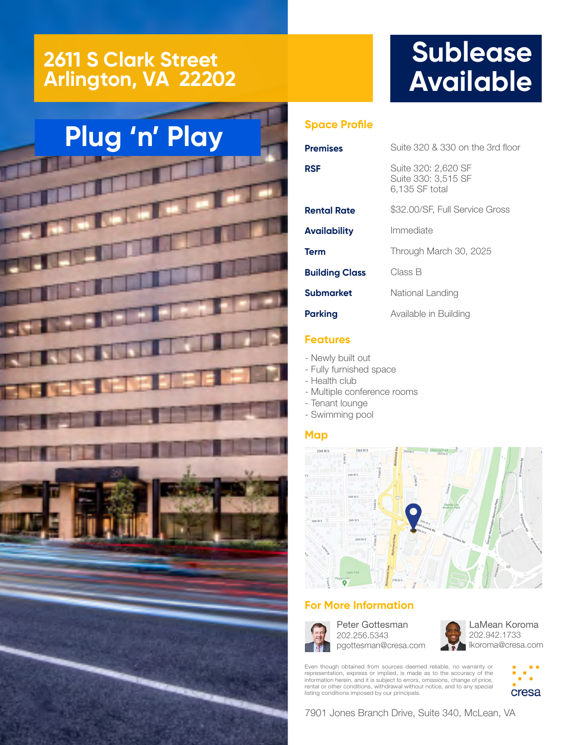### **2611 S Clark Street Arlington, VA 22202**

## **Sublease Available**

# **Plug 'n' Play**



#### **Space Profile**

| Premises              | Suite 320 & 330 on the 3rd floor                             |
|-----------------------|--------------------------------------------------------------|
| RSF                   | Suite 320: 2,620 SF<br>Suite 330: 3,515 SF<br>6,135 SF total |
| <b>Rental Rate</b>    | \$32.00/SF, Full Service Gross                               |
| Availability          | Immediate                                                    |
| Term                  | Through March 30, 2025                                       |
| <b>Building Class</b> | Class B                                                      |
| Submarket             | National Landing                                             |
| <b>Parking</b>        | Available in Building                                        |

#### **Features**

- Newly built out
- Fully furnished space
- Health club
- Multiple conference rooms
- Tenant lounge
- Swimming pool

#### **Map**



#### **For More Information**



Peter Gottesman 202.256.5343 pgottesman@cresa.com

LaMean Koroma 202.942.1733 lkoroma@cresa.com

Even though obtained from sources deemed reliable, no warranty or representation, express or implied, is made as to the accuracy of the information herein, and it is subject to errors, omissions, change of price, rental or other conditions, withdrawal without notice, and to any special listing conditions imposed by our principals.



7901 Jones Branch Drive, Suite 340, McLean, VA